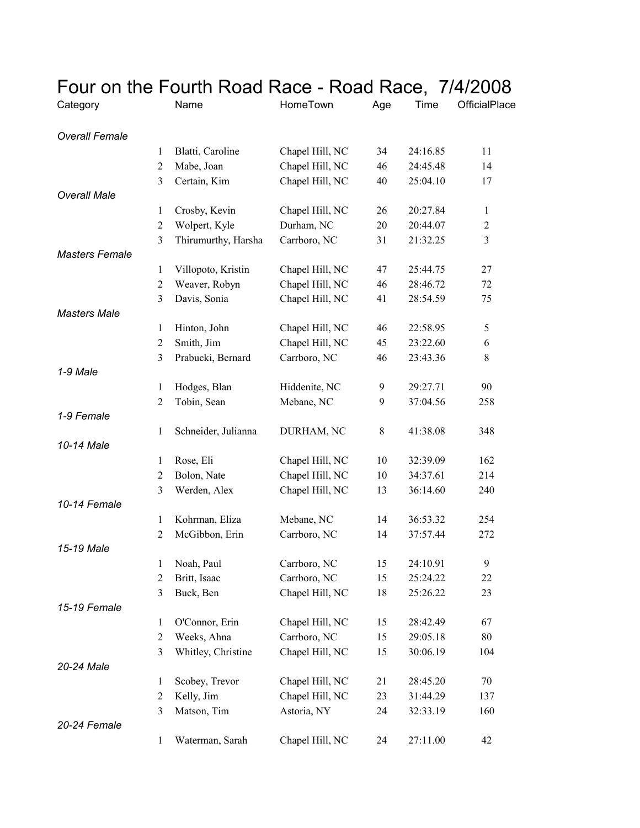| Four on the Fourth Road Race - Road Race, 7/4/2008 |                |                     |                 |             |          |                |
|----------------------------------------------------|----------------|---------------------|-----------------|-------------|----------|----------------|
| Category                                           |                | Name                | HomeTown        | Age         | Time     | OfficialPlace  |
|                                                    |                |                     |                 |             |          |                |
| <b>Overall Female</b>                              |                |                     |                 |             |          |                |
|                                                    | 1              | Blatti, Caroline    | Chapel Hill, NC | 34          | 24:16.85 | 11             |
|                                                    | $\overline{2}$ | Mabe, Joan          | Chapel Hill, NC | 46          | 24:45.48 | 14             |
| <b>Overall Male</b>                                | 3              | Certain, Kim        | Chapel Hill, NC | 40          | 25:04.10 | 17             |
|                                                    | $\mathbf{1}$   | Crosby, Kevin       | Chapel Hill, NC | 26          | 20:27.84 | $\mathbf{1}$   |
|                                                    | 2              | Wolpert, Kyle       | Durham, NC      | 20          | 20:44.07 | $\overline{2}$ |
|                                                    | 3              | Thirumurthy, Harsha | Carrboro, NC    | 31          | 21:32.25 | 3              |
| <b>Masters Female</b>                              |                |                     |                 |             |          |                |
|                                                    | 1              | Villopoto, Kristin  | Chapel Hill, NC | 47          | 25:44.75 | 27             |
|                                                    | 2              | Weaver, Robyn       | Chapel Hill, NC | 46          | 28:46.72 | 72             |
|                                                    | 3              | Davis, Sonia        | Chapel Hill, NC | 41          | 28:54.59 | 75             |
| <b>Masters Male</b>                                |                |                     |                 |             |          |                |
|                                                    | $\mathbf{1}$   | Hinton, John        | Chapel Hill, NC | 46          | 22:58.95 | 5              |
|                                                    | 2              | Smith, Jim          | Chapel Hill, NC | 45          | 23:22.60 | 6              |
|                                                    | 3              | Prabucki, Bernard   | Carrboro, NC    | 46          | 23:43.36 | 8              |
| 1-9 Male                                           |                |                     |                 |             |          |                |
|                                                    | 1              | Hodges, Blan        | Hiddenite, NC   | 9           | 29:27.71 | 90             |
|                                                    | 2              | Tobin, Sean         | Mebane, NC      | 9           | 37:04.56 | 258            |
| 1-9 Female                                         |                |                     |                 |             |          |                |
|                                                    | 1              | Schneider, Julianna | DURHAM, NC      | $\,$ 8 $\,$ | 41:38.08 | 348            |
| 10-14 Male                                         |                |                     |                 |             |          |                |
|                                                    | $\mathbf{1}$   | Rose, Eli           | Chapel Hill, NC | 10          | 32:39.09 | 162            |
|                                                    | 2              | Bolon, Nate         | Chapel Hill, NC | 10          | 34:37.61 | 214            |
|                                                    | 3              | Werden, Alex        | Chapel Hill, NC | 13          | 36:14.60 | 240            |
| 10-14 Female                                       |                |                     |                 |             |          |                |
|                                                    | 1              | Kohrman, Eliza      | Mebane, NC      | 14          | 36:53.32 | 254            |
|                                                    | 2              | McGibbon, Erin      | Carrboro, NC    | 14          | 37:57.44 | 272            |
| 15-19 Male                                         |                |                     |                 |             |          |                |
|                                                    | 1              | Noah, Paul          | Carrboro, NC    | 15          | 24:10.91 | 9              |
|                                                    | $\overline{2}$ | Britt, Isaac        | Carrboro, NC    | 15          | 25:24.22 | 22             |
|                                                    | 3              | Buck, Ben           | Chapel Hill, NC | 18          | 25:26.22 | 23             |
| 15-19 Female                                       |                |                     |                 |             |          |                |
|                                                    | $\mathbf{1}$   | O'Connor, Erin      | Chapel Hill, NC | 15          | 28:42.49 | 67             |
|                                                    | $\overline{2}$ | Weeks, Ahna         | Carrboro, NC    | 15          | 29:05.18 | 80             |
|                                                    | 3              | Whitley, Christine  | Chapel Hill, NC | 15          | 30:06.19 | 104            |
| 20-24 Male                                         |                |                     |                 |             |          |                |
|                                                    | $\mathbf{1}$   | Scobey, Trevor      | Chapel Hill, NC | 21          | 28:45.20 | 70             |
|                                                    | 2              | Kelly, Jim          | Chapel Hill, NC | 23          | 31:44.29 | 137            |
|                                                    | 3              | Matson, Tim         | Astoria, NY     | 24          | 32:33.19 | 160            |
| 20-24 Female                                       |                |                     |                 |             |          |                |
|                                                    | $\mathbf{1}$   | Waterman, Sarah     | Chapel Hill, NC | 24          | 27:11.00 | 42             |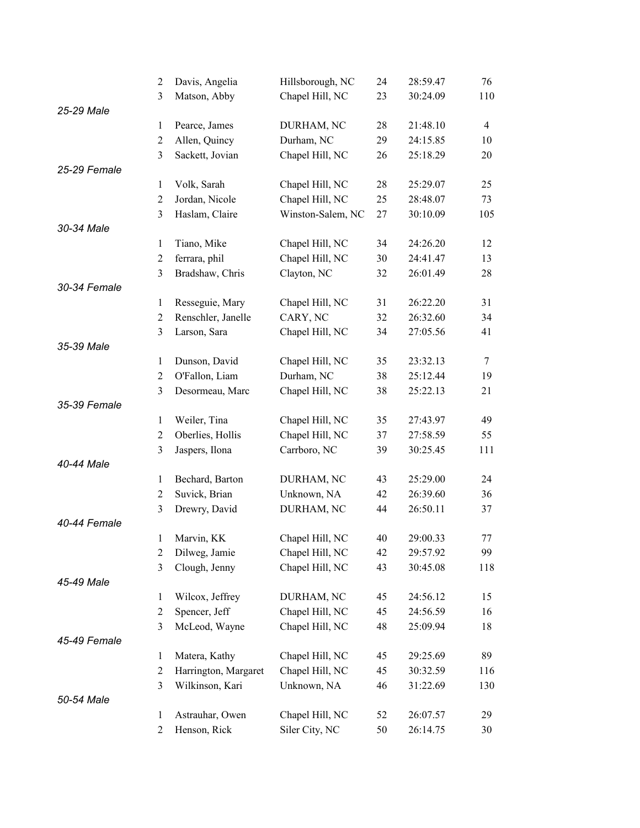|              | $\overline{c}$   | Davis, Angelia       | Hillsborough, NC  | 24 | 28:59.47 | 76             |
|--------------|------------------|----------------------|-------------------|----|----------|----------------|
|              | 3                | Matson, Abby         | Chapel Hill, NC   | 23 | 30:24.09 | 110            |
| 25-29 Male   |                  |                      |                   |    |          |                |
|              | $\mathbf{1}$     | Pearce, James        | DURHAM, NC        | 28 | 21:48.10 | $\overline{4}$ |
|              | $\overline{c}$   | Allen, Quincy        | Durham, NC        | 29 | 24:15.85 | 10             |
|              | $\mathfrak{Z}$   | Sackett, Jovian      | Chapel Hill, NC   | 26 | 25:18.29 | 20             |
| 25-29 Female |                  |                      |                   |    |          |                |
|              | $\mathbf{1}$     | Volk, Sarah          | Chapel Hill, NC   | 28 | 25:29.07 | 25             |
|              | $\overline{2}$   | Jordan, Nicole       | Chapel Hill, NC   | 25 | 28:48.07 | 73             |
|              | 3                | Haslam, Claire       | Winston-Salem, NC | 27 | 30:10.09 | 105            |
| 30-34 Male   |                  |                      |                   |    |          |                |
|              | $\mathbf{1}$     | Tiano, Mike          | Chapel Hill, NC   | 34 | 24:26.20 | 12             |
|              | $\overline{c}$   | ferrara, phil        | Chapel Hill, NC   | 30 | 24:41.47 | 13             |
|              | 3                | Bradshaw, Chris      | Clayton, NC       | 32 | 26:01.49 | 28             |
| 30-34 Female |                  |                      |                   |    |          |                |
|              | $\mathbf{1}$     | Resseguie, Mary      | Chapel Hill, NC   | 31 | 26:22.20 | 31             |
|              | $\overline{2}$   | Renschler, Janelle   | CARY, NC          | 32 | 26:32.60 | 34             |
|              | 3                | Larson, Sara         | Chapel Hill, NC   | 34 | 27:05.56 | 41             |
| 35-39 Male   |                  |                      |                   |    |          |                |
|              | $\mathbf{1}$     | Dunson, David        | Chapel Hill, NC   | 35 | 23:32.13 | $\tau$         |
|              | $\overline{2}$   | O'Fallon, Liam       | Durham, NC        | 38 | 25:12.44 | 19             |
|              | 3                | Desormeau, Marc      | Chapel Hill, NC   | 38 | 25:22.13 | 21             |
| 35-39 Female |                  |                      |                   |    |          |                |
|              | $\mathbf{1}$     | Weiler, Tina         | Chapel Hill, NC   | 35 | 27:43.97 | 49             |
|              | $\overline{c}$   | Oberlies, Hollis     | Chapel Hill, NC   | 37 | 27:58.59 | 55             |
|              | 3                | Jaspers, Ilona       | Carrboro, NC      | 39 | 30:25.45 | 111            |
| 40-44 Male   |                  |                      |                   |    |          |                |
|              | $\mathbf{1}$     | Bechard, Barton      | DURHAM, NC        | 43 | 25:29.00 | 24             |
|              | $\boldsymbol{2}$ | Suvick, Brian        | Unknown, NA       | 42 | 26:39.60 | 36             |
|              | 3                | Drewry, David        | DURHAM, NC        | 44 | 26:50.11 | 37             |
| 40-44 Female |                  |                      |                   |    |          |                |
|              | 1                | Marvin, KK           | Chapel Hill, NC   | 40 | 29:00.33 | 77             |
|              | $\overline{c}$   | Dilweg, Jamie        | Chapel Hill, NC   | 42 | 29:57.92 | 99             |
|              | 3                | Clough, Jenny        | Chapel Hill, NC   | 43 | 30:45.08 | 118            |
| 45-49 Male   |                  |                      |                   |    |          |                |
|              | $\mathbf{1}$     | Wilcox, Jeffrey      | DURHAM, NC        | 45 | 24:56.12 | 15             |
|              | $\overline{c}$   | Spencer, Jeff        | Chapel Hill, NC   | 45 | 24:56.59 | 16             |
|              | $\mathfrak{Z}$   | McLeod, Wayne        | Chapel Hill, NC   | 48 | 25:09.94 | 18             |
| 45-49 Female |                  |                      |                   |    |          |                |
|              | $\mathbf{1}$     | Matera, Kathy        | Chapel Hill, NC   | 45 | 29:25.69 | 89             |
|              | $\overline{c}$   | Harrington, Margaret | Chapel Hill, NC   | 45 | 30:32.59 | 116            |
|              | 3                | Wilkinson, Kari      | Unknown, NA       | 46 | 31:22.69 | 130            |
| 50-54 Male   |                  |                      |                   |    |          |                |
|              | $\mathbf{1}$     | Astrauhar, Owen      | Chapel Hill, NC   | 52 | 26:07.57 | 29             |
|              | 2                | Henson, Rick         | Siler City, NC    | 50 | 26:14.75 | 30             |